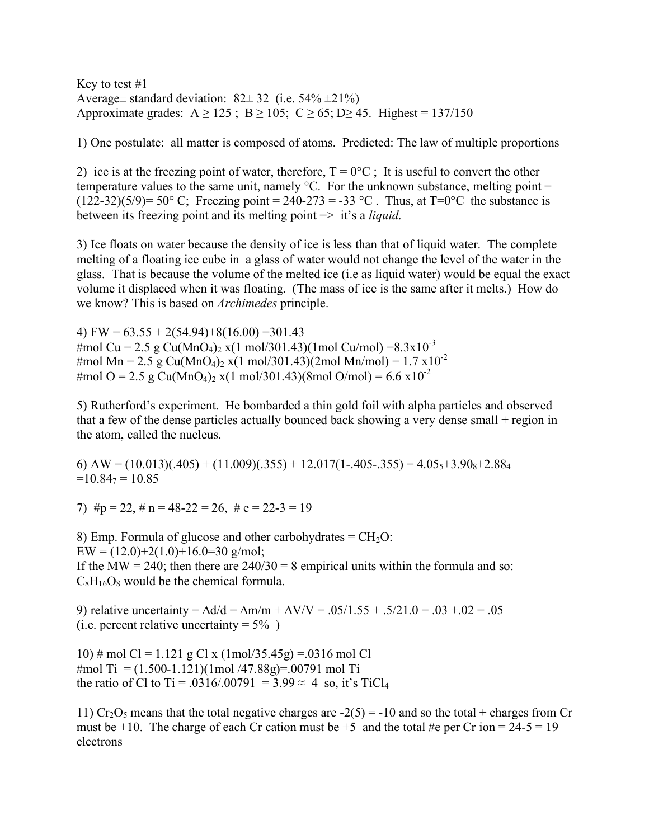Key to test #1 Average $\pm$  standard deviation:  $82 \pm 32$  (i.e.  $54\% \pm 21\%$ ) Approximate grades:  $A \ge 125$ ;  $B \ge 105$ ;  $C \ge 65$ ;  $D \ge 45$ . Highest = 137/150

1) One postulate: all matter is composed of atoms. Predicted: The law of multiple proportions

2) ice is at the freezing point of water, therefore,  $T = 0^{\circ}C$ ; It is useful to convert the other temperature values to the same unit, namely  $\rm{^{\circ}C}$ . For the unknown substance, melting point = (122-32)(5/9)= 50° C; Freezing point = 240-273 = -33 °C. Thus, at T=0°C the substance is between its freezing point and its melting point => it's a *liquid*.

3) Ice floats on water because the density of ice is less than that of liquid water. The complete melting of a floating ice cube in a glass of water would not change the level of the water in the glass. That is because the volume of the melted ice (i.e as liquid water) would be equal the exact volume it displaced when it was floating. (The mass of ice is the same after it melts.) How do we know? This is based on *Archimedes* principle.

4) FW =  $63.55 + 2(54.94) + 8(16.00) = 301.43$ #mol Cu = 2.5 g Cu(MnO<sub>4</sub>)<sub>2</sub> x(1 mol/301.43)(1mol Cu/mol) = 8.3x10<sup>-3</sup> #mol Mn = 2.5 g Cu(MnO<sub>4</sub>)<sub>2</sub> x(1 mol/301.43)(2mol Mn/mol) = 1.7 x10<sup>-2</sup> #mol O = 2.5 g Cu(MnO<sub>4</sub>)<sub>2</sub> x(1 mol/301.43)(8mol O/mol) = 6.6 x10<sup>-2</sup>

5) Rutherford's experiment. He bombarded a thin gold foil with alpha particles and observed that a few of the dense particles actually bounced back showing a very dense small + region in the atom, called the nucleus.

6) AW =  $(10.013)(.405) + (11.009)(.355) + 12.017(1-.405-.355) = 4.05<sub>5</sub>+3.90<sub>8</sub>+2.88<sub>4</sub>$  $=10.84$ <sub>7</sub> = 10.85

7)  $\#p = 22$ ,  $\#n = 48-22 = 26$ ,  $\#e = 22-3 = 19$ 

8) Emp. Formula of glucose and other carbohydrates  $=$  CH<sub>2</sub>O:  $EW = (12.0) + 2(1.0) + 16.0 = 30$  g/mol; If the MW = 240; then there are  $240/30 = 8$  empirical units within the formula and so:  $C_8H_{16}O_8$  would be the chemical formula.

9) relative uncertainty =  $\Delta d/d = \Delta m/m + \Delta V/V = .05/1.55 + .5/21.0 = .03 + .02 = .05$ (i.e. percent relative uncertainty =  $5\%$ )

10) # mol Cl = 1.121 g Cl x (1mol/35.45g) = 0316 mol Cl #mol Ti = (1.500-1.121)(1mol /47.88g)=.00791 mol Ti the ratio of Cl to Ti = .0316/.00791 = 3.99  $\approx$  4 so, it's TiCl<sub>4</sub>

11) Cr<sub>2</sub>O<sub>5</sub> means that the total negative charges are  $-2(5) = -10$  and so the total + charges from Cr must be +10. The charge of each Cr cation must be +5 and the total #e per Cr ion =  $24-5 = 19$ electrons